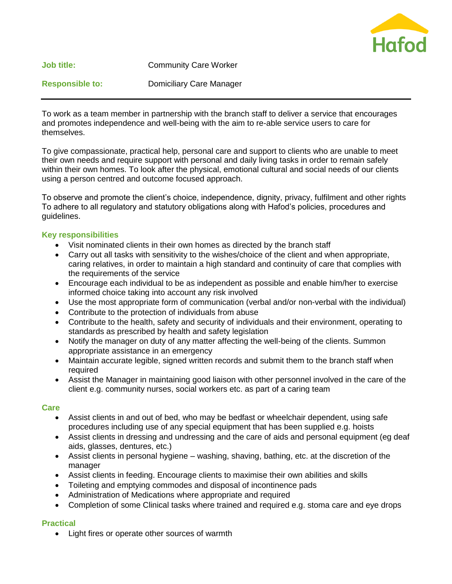

To work as a team member in partnership with the branch staff to deliver a service that encourages and promotes independence and well-being with the aim to re-able service users to care for themselves.

To give compassionate, practical help, personal care and support to clients who are unable to meet their own needs and require support with personal and daily living tasks in order to remain safely within their own homes. To look after the physical, emotional cultural and social needs of our clients using a person centred and outcome focused approach.

To observe and promote the client's choice, independence, dignity, privacy, fulfilment and other rights To adhere to all regulatory and statutory obligations along with Hafod's policies, procedures and guidelines.

### **Key responsibilities**

- Visit nominated clients in their own homes as directed by the branch staff
- Carry out all tasks with sensitivity to the wishes/choice of the client and when appropriate, caring relatives, in order to maintain a high standard and continuity of care that complies with the requirements of the service
- Encourage each individual to be as independent as possible and enable him/her to exercise informed choice taking into account any risk involved
- Use the most appropriate form of communication (verbal and/or non-verbal with the individual)
- Contribute to the protection of individuals from abuse
- Contribute to the health, safety and security of individuals and their environment, operating to standards as prescribed by health and safety legislation
- Notify the manager on duty of any matter affecting the well-being of the clients. Summon appropriate assistance in an emergency
- Maintain accurate legible, signed written records and submit them to the branch staff when required
- Assist the Manager in maintaining good liaison with other personnel involved in the care of the client e.g. community nurses, social workers etc. as part of a caring team

### **Care**

- Assist clients in and out of bed, who may be bedfast or wheelchair dependent, using safe procedures including use of any special equipment that has been supplied e.g. hoists
- Assist clients in dressing and undressing and the care of aids and personal equipment (eg deaf aids, glasses, dentures, etc.)
- Assist clients in personal hygiene washing, shaving, bathing, etc. at the discretion of the manager
- Assist clients in feeding. Encourage clients to maximise their own abilities and skills
- Toileting and emptying commodes and disposal of incontinence pads
- Administration of Medications where appropriate and required
- Completion of some Clinical tasks where trained and required e.g. stoma care and eye drops

#### **Practical**

• Light fires or operate other sources of warmth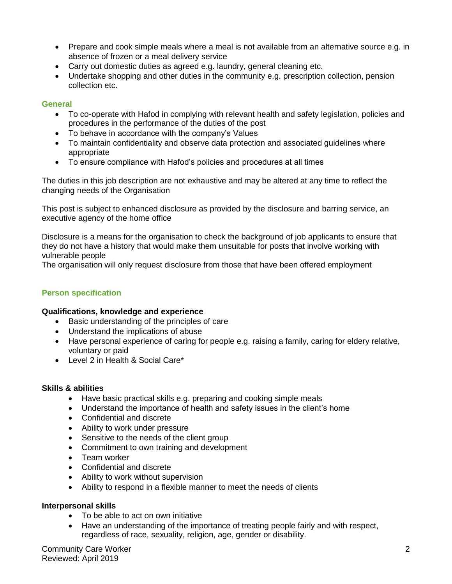- Prepare and cook simple meals where a meal is not available from an alternative source e.g. in absence of frozen or a meal delivery service
- Carry out domestic duties as agreed e.g. laundry, general cleaning etc.
- Undertake shopping and other duties in the community e.g. prescription collection, pension collection etc.

## **General**

- To co-operate with Hafod in complying with relevant health and safety legislation, policies and procedures in the performance of the duties of the post
- To behave in accordance with the company's Values
- To maintain confidentiality and observe data protection and associated guidelines where appropriate
- To ensure compliance with Hafod's policies and procedures at all times

The duties in this job description are not exhaustive and may be altered at any time to reflect the changing needs of the Organisation

This post is subject to enhanced disclosure as provided by the disclosure and barring service, an executive agency of the home office

Disclosure is a means for the organisation to check the background of job applicants to ensure that they do not have a history that would make them unsuitable for posts that involve working with vulnerable people

The organisation will only request disclosure from those that have been offered employment

## **Person specification**

### **Qualifications, knowledge and experience**

- Basic understanding of the principles of care
- Understand the implications of abuse
- Have personal experience of caring for people e.g. raising a family, caring for eldery relative, voluntary or paid
- Level 2 in Health & Social Care\*

### **Skills & abilities**

- Have basic practical skills e.g. preparing and cooking simple meals
- Understand the importance of health and safety issues in the client's home
- Confidential and discrete
- Ability to work under pressure
- Sensitive to the needs of the client group
- Commitment to own training and development
- Team worker
- Confidential and discrete
- Ability to work without supervision
- Ability to respond in a flexible manner to meet the needs of clients

### **Interpersonal skills**

- To be able to act on own initiative
- Have an understanding of the importance of treating people fairly and with respect, regardless of race, sexuality, religion, age, gender or disability.

Community Care Worker 2 Reviewed: April 2019